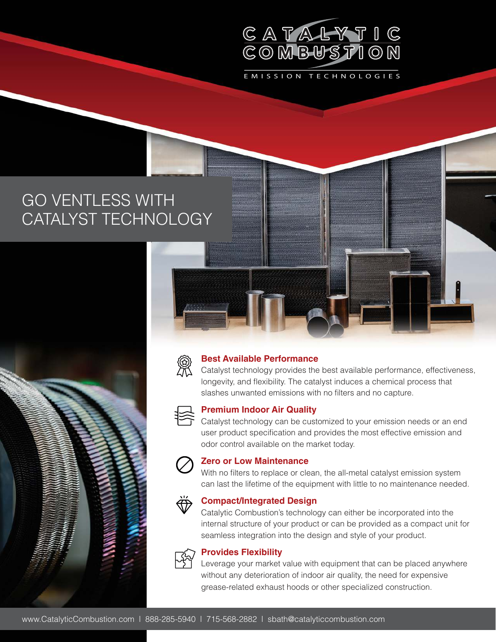

EMISSION TECHNOLOGIES

GO VENTLESS WITH CATALYST TECHNOLOGY



#### **Best Available Performance**

Catalyst technology provides the best available performance, effectiveness, longevity, and flexibility. The catalyst induces a chemical process that slashes unwanted emissions with no filters and no capture.



### **Premium Indoor Air Quality**

Catalyst technology can be customized to your emission needs or an end user product specification and provides the most effective emission and odor control available on the market today.



#### **Zero or Low Maintenance**

With no filters to replace or clean, the all-metal catalyst emission system can last the lifetime of the equipment with little to no maintenance needed.



#### **Compact/Integrated Design**

Catalytic Combustion's technology can either be incorporated into the internal structure of your product or can be provided as a compact unit for seamless integration into the design and style of your product.



#### **Provides Flexibility**

Leverage your market value with equipment that can be placed anywhere without any deterioration of indoor air quality, the need for expensive grease-related exhaust hoods or other specialized construction.